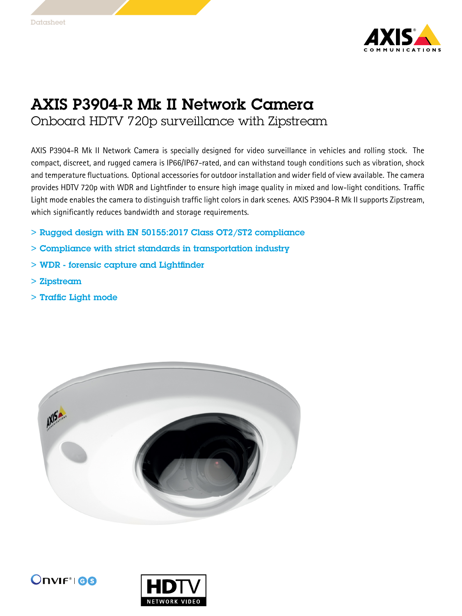

## AXIS P3904-R Mk II Network Camera

Onboard HDTV 720p surveillance with Zipstream

AXIS P3904-R Mk II Network Camera is specially designed for video surveillance in vehicles and rolling stock. The compact, discreet, and rugged camera is IP66/IP67-rated, and can withstand tough conditions such as vibration, shock and temperature fluctuations. Optional accessories for outdoor installation and wider field of view available. The camera provides HDTV 720p with WDR and Lightfinder to ensure high image quality in mixed and low-light conditions. Traffic Light mode enables the camera to distinguish traffic light colors in dark scenes. AXIS P3904-R Mk II supports Zipstream, which significantly reduces bandwidth and storage requirements.

- > Rugged design with EN 50155:2017 Class OT2/ST2 compliance
- > Compliance with strict standards in transportation industry
- > WDR forensic capture and Lightfinder
- > Zipstream
- > Traffic Light mode